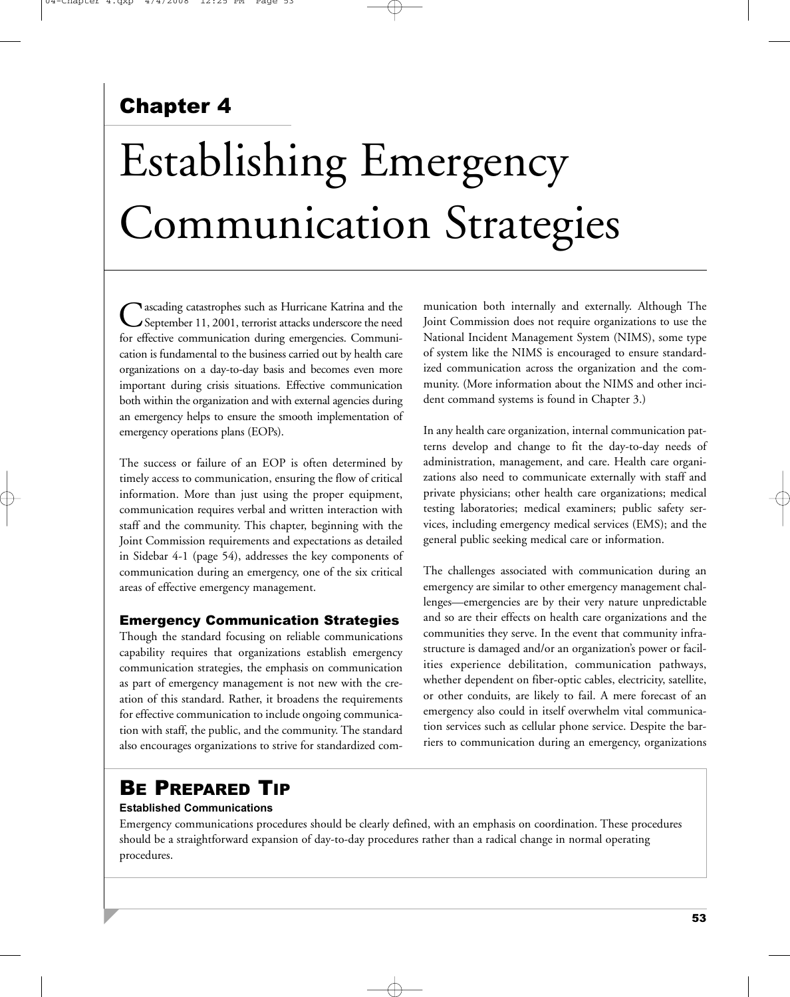# Chapter 4

# Establishing Emergency Communication Strategies

Cascading catastrophes such as Hurricane Katrina and the<br>September 11, 2001, terrorist attacks underscore the need for effective communication during emergencies. Communication is fundamental to the business carried out by health care organizations on a day-to-day basis and becomes even more important during crisis situations. Effective communication both within the organization and with external agencies during an emergency helps to ensure the smooth implementation of emergency operations plans (EOPs).

The success or failure of an EOP is often determined by timely access to communication, ensuring the flow of critical information. More than just using the proper equipment, communication requires verbal and written interaction with staff and the community. This chapter, beginning with the Joint Commission requirements and expectations as detailed in Sidebar 4-1 (page 54), addresses the key components of communication during an emergency, one of the six critical areas of effective emergency management.

#### Emergency Communication Strategies

Though the standard focusing on reliable communications capability requires that organizations establish emergency communication strategies, the emphasis on communication as part of emergency management is not new with the creation of this standard. Rather, it broadens the requirements for effective communication to include ongoing communication with staff, the public, and the community. The standard also encourages organizations to strive for standardized communication both internally and externally. Although The Joint Commission does not require organizations to use the National Incident Management System (NIMS), some type of system like the NIMS is encouraged to ensure standardized communication across the organization and the community. (More information about the NIMS and other incident command systems is found in Chapter 3.)

In any health care organization, internal communication patterns develop and change to fit the day-to-day needs of administration, management, and care. Health care organizations also need to communicate externally with staff and private physicians; other health care organizations; medical testing laboratories; medical examiners; public safety services, including emergency medical services (EMS); and the general public seeking medical care or information.

The challenges associated with communication during an emergency are similar to other emergency management challenges—emergencies are by their very nature unpredictable and so are their effects on health care organizations and the communities they serve. In the event that community infrastructure is damaged and/or an organization's power or facilities experience debilitation, communication pathways, whether dependent on fiber-optic cables, electricity, satellite, or other conduits, are likely to fail. A mere forecast of an emergency also could in itself overwhelm vital communication services such as cellular phone service. Despite the barriers to communication during an emergency, organizations

# BE PREPARED TIP

#### **Established Communications**

Emergency communications procedures should be clearly defined, with an emphasis on coordination. These procedures should be a straightforward expansion of day-to-day procedures rather than a radical change in normal operating procedures.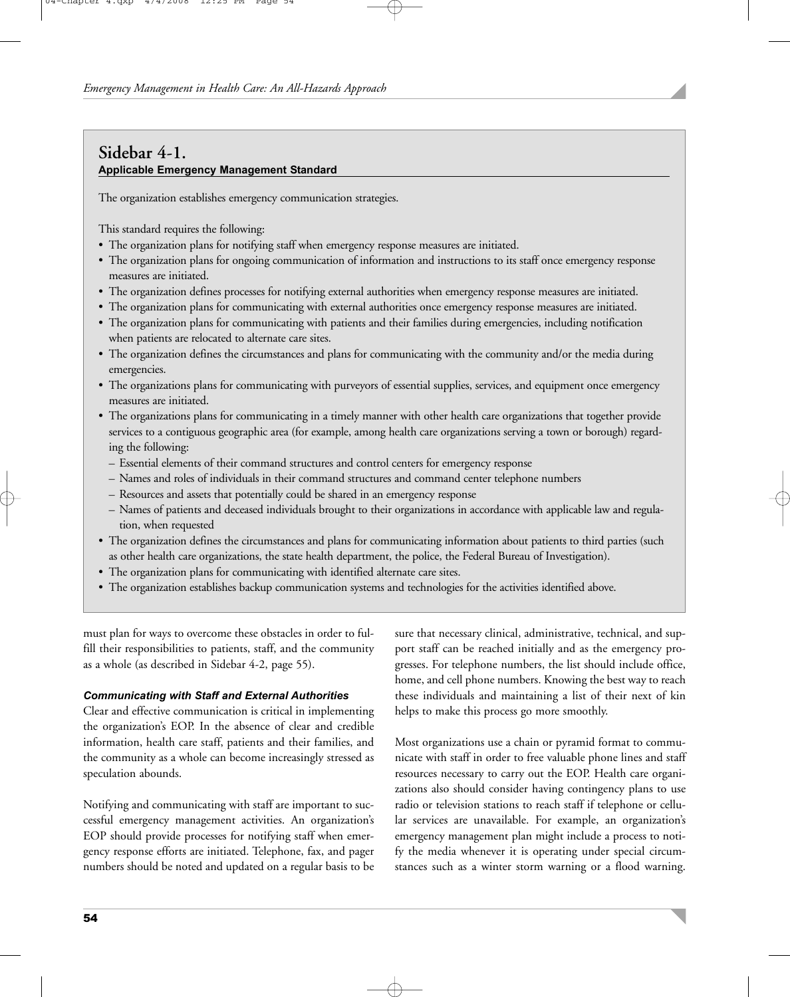## **Sidebar 4-1. Applicable Emergency Management Standard**

The organization establishes emergency communication strategies.

This standard requires the following:

- The organization plans for notifying staff when emergency response measures are initiated.
- The organization plans for ongoing communication of information and instructions to its staff once emergency response measures are initiated.
- The organization defines processes for notifying external authorities when emergency response measures are initiated.
- The organization plans for communicating with external authorities once emergency response measures are initiated.
- The organization plans for communicating with patients and their families during emergencies, including notification when patients are relocated to alternate care sites.
- The organization defines the circumstances and plans for communicating with the community and/or the media during emergencies.
- The organizations plans for communicating with purveyors of essential supplies, services, and equipment once emergency measures are initiated.
- The organizations plans for communicating in a timely manner with other health care organizations that together provide services to a contiguous geographic area (for example, among health care organizations serving a town or borough) regarding the following:
	- Essential elements of their command structures and control centers for emergency response
	- Names and roles of individuals in their command structures and command center telephone numbers
	- Resources and assets that potentially could be shared in an emergency response
	- Names of patients and deceased individuals brought to their organizations in accordance with applicable law and regulation, when requested
- The organization defines the circumstances and plans for communicating information about patients to third parties (such as other health care organizations, the state health department, the police, the Federal Bureau of Investigation).
- The organization plans for communicating with identified alternate care sites.
- The organization establishes backup communication systems and technologies for the activities identified above.

must plan for ways to overcome these obstacles in order to fulfill their responsibilities to patients, staff, and the community as a whole (as described in Sidebar 4-2, page 55).

#### *Communicating with Staff and External Authorities*

Clear and effective communication is critical in implementing the organization's EOP. In the absence of clear and credible information, health care staff, patients and their families, and the community as a whole can become increasingly stressed as speculation abounds.

Notifying and communicating with staff are important to successful emergency management activities. An organization's EOP should provide processes for notifying staff when emergency response efforts are initiated. Telephone, fax, and pager numbers should be noted and updated on a regular basis to be sure that necessary clinical, administrative, technical, and support staff can be reached initially and as the emergency progresses. For telephone numbers, the list should include office, home, and cell phone numbers. Knowing the best way to reach these individuals and maintaining a list of their next of kin helps to make this process go more smoothly.

Most organizations use a chain or pyramid format to communicate with staff in order to free valuable phone lines and staff resources necessary to carry out the EOP. Health care organizations also should consider having contingency plans to use radio or television stations to reach staff if telephone or cellular services are unavailable. For example, an organization's emergency management plan might include a process to notify the media whenever it is operating under special circumstances such as a winter storm warning or a flood warning.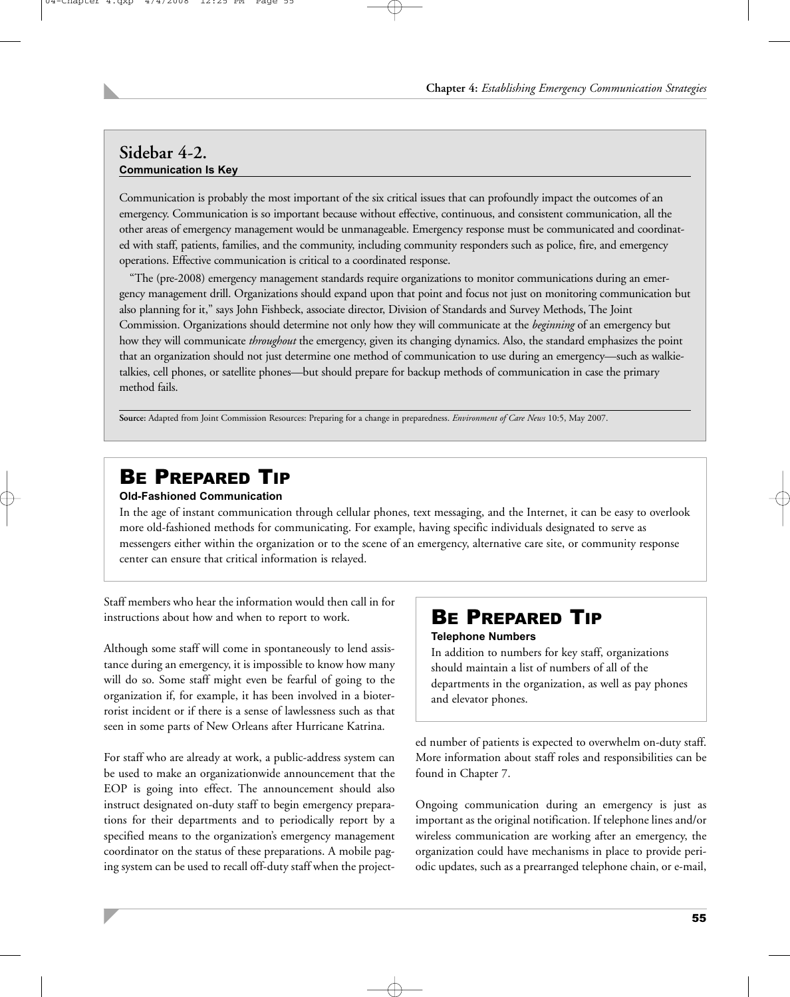## **Sidebar 4-2. Communication Is Key**

Communication is probably the most important of the six critical issues that can profoundly impact the outcomes of an emergency. Communication is so important because without effective, continuous, and consistent communication, all the other areas of emergency management would be unmanageable. Emergency response must be communicated and coordinated with staff, patients, families, and the community, including community responders such as police, fire, and emergency operations. Effective communication is critical to a coordinated response.

"The (pre-2008) emergency management standards require organizations to monitor communications during an emergency management drill. Organizations should expand upon that point and focus not just on monitoring communication but also planning for it," says John Fishbeck, associate director, Division of Standards and Survey Methods, The Joint Commission. Organizations should determine not only how they will communicate at the *beginning* of an emergency but how they will communicate *throughout* the emergency, given its changing dynamics. Also, the standard emphasizes the point that an organization should not just determine one method of communication to use during an emergency—such as walkietalkies, cell phones, or satellite phones—but should prepare for backup methods of communication in case the primary method fails.

**Source:** Adapted from Joint Commission Resources: Preparing for a change in preparedness. *Environment of Care News* 10:5, May 2007.

# BE PREPARED TIP

#### **Old-Fashioned Communication**

In the age of instant communication through cellular phones, text messaging, and the Internet, it can be easy to overlook more old-fashioned methods for communicating. For example, having specific individuals designated to serve as messengers either within the organization or to the scene of an emergency, alternative care site, or community response center can ensure that critical information is relayed.

Staff members who hear the information would then call in for instructions about how and when to report to work.

Although some staff will come in spontaneously to lend assistance during an emergency, it is impossible to know how many will do so. Some staff might even be fearful of going to the organization if, for example, it has been involved in a bioterrorist incident or if there is a sense of lawlessness such as that seen in some parts of New Orleans after Hurricane Katrina.

For staff who are already at work, a public-address system can be used to make an organizationwide announcement that the EOP is going into effect. The announcement should also instruct designated on-duty staff to begin emergency preparations for their departments and to periodically report by a specified means to the organization's emergency management coordinator on the status of these preparations. A mobile paging system can be used to recall off-duty staff when the project-

## BE PREPARED TIP

#### **Telephone Numbers**

In addition to numbers for key staff, organizations should maintain a list of numbers of all of the departments in the organization, as well as pay phones and elevator phones.

ed number of patients is expected to overwhelm on-duty staff. More information about staff roles and responsibilities can be found in Chapter 7.

Ongoing communication during an emergency is just as important as the original notification. If telephone lines and/or wireless communication are working after an emergency, the organization could have mechanisms in place to provide periodic updates, such as a prearranged telephone chain, or e-mail,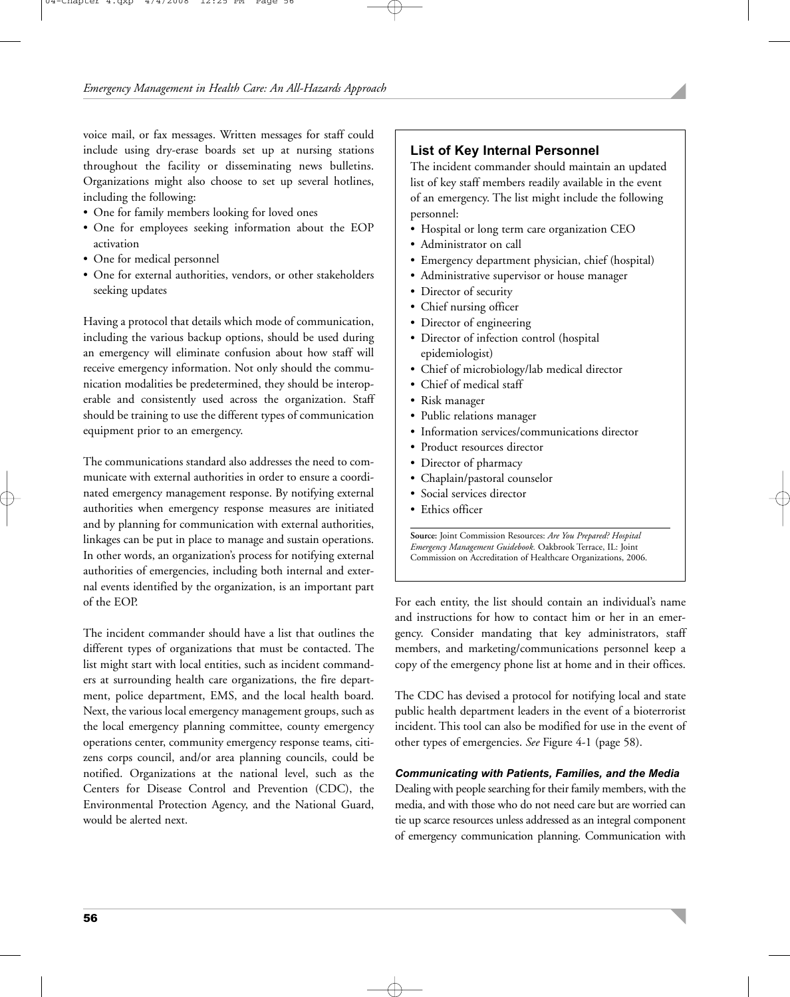voice mail, or fax messages. Written messages for staff could include using dry-erase boards set up at nursing stations throughout the facility or disseminating news bulletins. Organizations might also choose to set up several hotlines, including the following:

- One for family members looking for loved ones
- One for employees seeking information about the EOP activation
- One for medical personnel
- One for external authorities, vendors, or other stakeholders seeking updates

Having a protocol that details which mode of communication, including the various backup options, should be used during an emergency will eliminate confusion about how staff will receive emergency information. Not only should the communication modalities be predetermined, they should be interoperable and consistently used across the organization. Staff should be training to use the different types of communication equipment prior to an emergency.

The communications standard also addresses the need to communicate with external authorities in order to ensure a coordinated emergency management response. By notifying external authorities when emergency response measures are initiated and by planning for communication with external authorities, linkages can be put in place to manage and sustain operations. In other words, an organization's process for notifying external authorities of emergencies, including both internal and external events identified by the organization, is an important part of the EOP.

The incident commander should have a list that outlines the different types of organizations that must be contacted. The list might start with local entities, such as incident commanders at surrounding health care organizations, the fire department, police department, EMS, and the local health board. Next, the various local emergency management groups, such as the local emergency planning committee, county emergency operations center, community emergency response teams, citizens corps council, and/or area planning councils, could be notified. Organizations at the national level, such as the Centers for Disease Control and Prevention (CDC), the Environmental Protection Agency, and the National Guard, would be alerted next.

#### **List of Key Internal Personnel**

The incident commander should maintain an updated list of key staff members readily available in the event of an emergency. The list might include the following personnel:

- Hospital or long term care organization CEO
- Administrator on call
- Emergency department physician, chief (hospital)
- Administrative supervisor or house manager
- Director of security
- Chief nursing officer
- Director of engineering
- Director of infection control (hospital epidemiologist)
- Chief of microbiology/lab medical director
- Chief of medical staff
- Risk manager
- Public relations manager
- Information services/communications director
- Product resources director
- Director of pharmacy
- Chaplain/pastoral counselor
- Social services director
- Ethics officer

**Source:** Joint Commission Resources: *Are You Prepared? Hospital Emergency Management Guidebook.* Oakbrook Terrace, IL: Joint Commission on Accreditation of Healthcare Organizations, 2006.

For each entity, the list should contain an individual's name and instructions for how to contact him or her in an emergency. Consider mandating that key administrators, staff members, and marketing/communications personnel keep a copy of the emergency phone list at home and in their offices.

The CDC has devised a protocol for notifying local and state public health department leaders in the event of a bioterrorist incident. This tool can also be modified for use in the event of other types of emergencies. *See* Figure 4-1 (page 58).

#### *Communicating with Patients, Families, and the Media*

Dealing with people searching for their family members, with the media, and with those who do not need care but are worried can tie up scarce resources unless addressed as an integral component of emergency communication planning. Communication with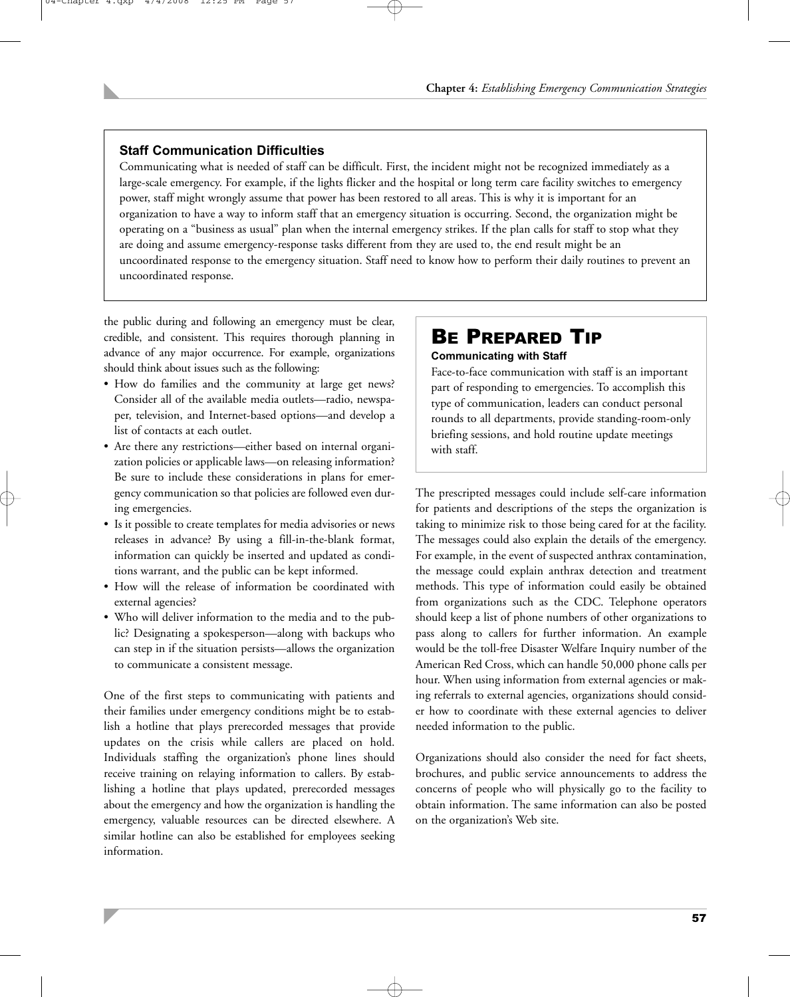#### **Staff Communication Difficulties**

Communicating what is needed of staff can be difficult. First, the incident might not be recognized immediately as a large-scale emergency. For example, if the lights flicker and the hospital or long term care facility switches to emergency power, staff might wrongly assume that power has been restored to all areas. This is why it is important for an organization to have a way to inform staff that an emergency situation is occurring. Second, the organization might be operating on a "business as usual" plan when the internal emergency strikes. If the plan calls for staff to stop what they are doing and assume emergency-response tasks different from they are used to, the end result might be an uncoordinated response to the emergency situation. Staff need to know how to perform their daily routines to prevent an uncoordinated response.

the public during and following an emergency must be clear, credible, and consistent. This requires thorough planning in advance of any major occurrence. For example, organizations should think about issues such as the following:

- How do families and the community at large get news? Consider all of the available media outlets—radio, newspaper, television, and Internet-based options—and develop a list of contacts at each outlet.
- Are there any restrictions—either based on internal organization policies or applicable laws—on releasing information? Be sure to include these considerations in plans for emergency communication so that policies are followed even during emergencies.
- Is it possible to create templates for media advisories or news releases in advance? By using a fill-in-the-blank format, information can quickly be inserted and updated as conditions warrant, and the public can be kept informed.
- How will the release of information be coordinated with external agencies?
- Who will deliver information to the media and to the public? Designating a spokesperson—along with backups who can step in if the situation persists—allows the organization to communicate a consistent message.

One of the first steps to communicating with patients and their families under emergency conditions might be to establish a hotline that plays prerecorded messages that provide updates on the crisis while callers are placed on hold. Individuals staffing the organization's phone lines should receive training on relaying information to callers. By establishing a hotline that plays updated, prerecorded messages about the emergency and how the organization is handling the emergency, valuable resources can be directed elsewhere. A similar hotline can also be established for employees seeking information.

# BE PREPARED TIP

#### **Communicating with Staff**

Face-to-face communication with staff is an important part of responding to emergencies. To accomplish this type of communication, leaders can conduct personal rounds to all departments, provide standing-room-only briefing sessions, and hold routine update meetings with staff.

The prescripted messages could include self-care information for patients and descriptions of the steps the organization is taking to minimize risk to those being cared for at the facility. The messages could also explain the details of the emergency. For example, in the event of suspected anthrax contamination, the message could explain anthrax detection and treatment methods. This type of information could easily be obtained from organizations such as the CDC. Telephone operators should keep a list of phone numbers of other organizations to pass along to callers for further information. An example would be the toll-free Disaster Welfare Inquiry number of the American Red Cross, which can handle 50,000 phone calls per hour. When using information from external agencies or making referrals to external agencies, organizations should consider how to coordinate with these external agencies to deliver needed information to the public.

Organizations should also consider the need for fact sheets, brochures, and public service announcements to address the concerns of people who will physically go to the facility to obtain information. The same information can also be posted on the organization's Web site.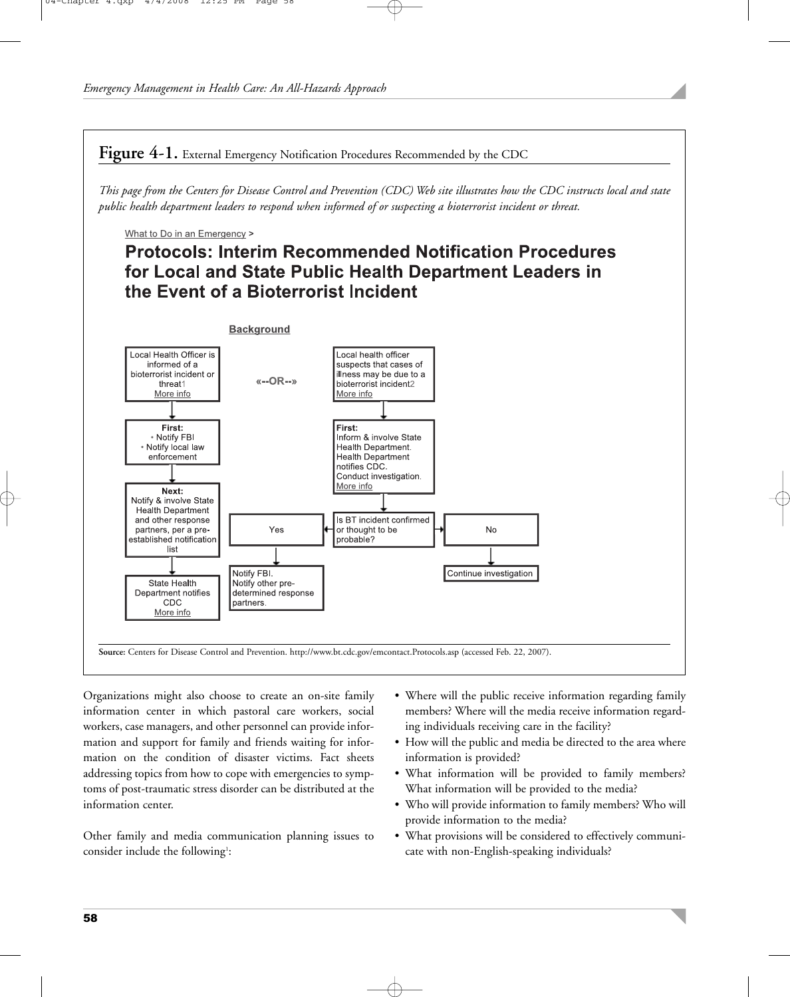Figure 4-1. External Emergency Notification Procedures Recommended by the CDC

*This page from the Centers for Disease Control and Prevention (CDC) Web site illustrates how the CDC instructs local and state public health department leaders to respond when informed of or suspecting a bioterrorist incident or threat.*

What to Do in an Emergency >

## **Protocols: Interim Recommended Notification Procedures** for Local and State Public Health Department Leaders in the Event of a Bioterrorist Incident



Organizations might also choose to create an on-site family information center in which pastoral care workers, social workers, case managers, and other personnel can provide information and support for family and friends waiting for information on the condition of disaster victims. Fact sheets addressing topics from how to cope with emergencies to symptoms of post-traumatic stress disorder can be distributed at the information center.

Other family and media communication planning issues to consider include the following<sup>1</sup>:

- Where will the public receive information regarding family members? Where will the media receive information regarding individuals receiving care in the facility?
- How will the public and media be directed to the area where information is provided?
- What information will be provided to family members? What information will be provided to the media?
- Who will provide information to family members? Who will provide information to the media?
- What provisions will be considered to effectively communicate with non-English-speaking individuals?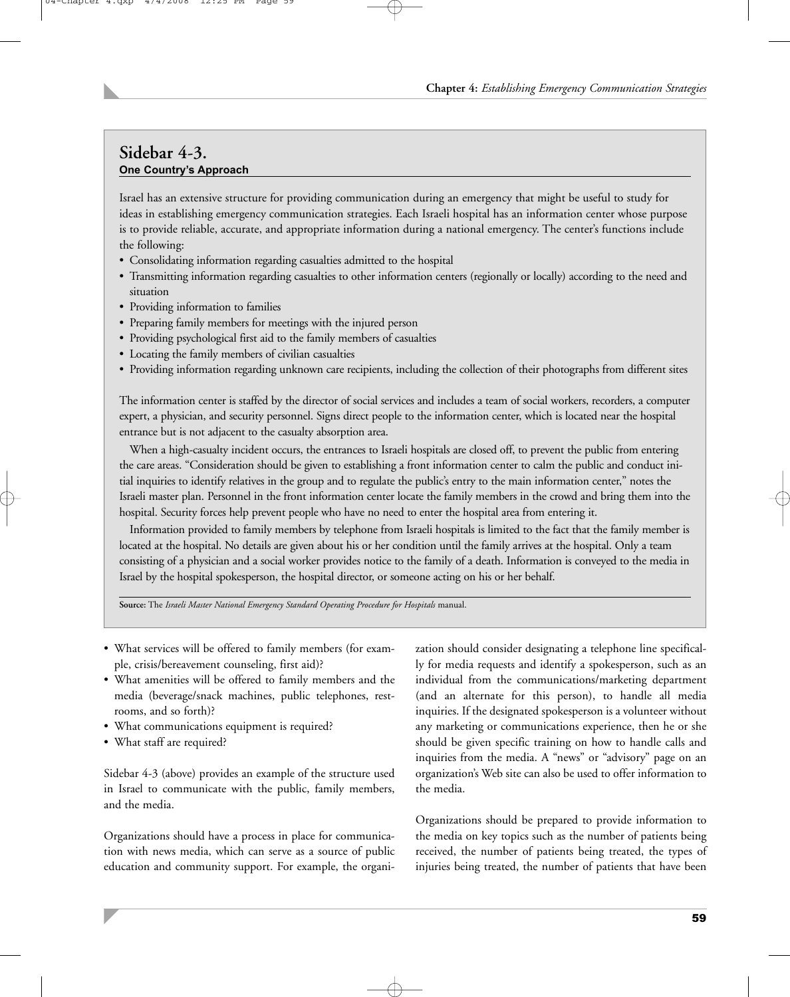#### **Sidebar 4-3. One Country's Approach**

Israel has an extensive structure for providing communication during an emergency that might be useful to study for ideas in establishing emergency communication strategies. Each Israeli hospital has an information center whose purpose is to provide reliable, accurate, and appropriate information during a national emergency. The center's functions include the following:

- Consolidating information regarding casualties admitted to the hospital
- Transmitting information regarding casualties to other information centers (regionally or locally) according to the need and situation
- Providing information to families
- Preparing family members for meetings with the injured person
- Providing psychological first aid to the family members of casualties
- Locating the family members of civilian casualties
- Providing information regarding unknown care recipients, including the collection of their photographs from different sites

The information center is staffed by the director of social services and includes a team of social workers, recorders, a computer expert, a physician, and security personnel. Signs direct people to the information center, which is located near the hospital entrance but is not adjacent to the casualty absorption area.

When a high-casualty incident occurs, the entrances to Israeli hospitals are closed off, to prevent the public from entering the care areas. "Consideration should be given to establishing a front information center to calm the public and conduct initial inquiries to identify relatives in the group and to regulate the public's entry to the main information center," notes the Israeli master plan. Personnel in the front information center locate the family members in the crowd and bring them into the hospital. Security forces help prevent people who have no need to enter the hospital area from entering it.

Information provided to family members by telephone from Israeli hospitals is limited to the fact that the family member is located at the hospital. No details are given about his or her condition until the family arrives at the hospital. Only a team consisting of a physician and a social worker provides notice to the family of a death. Information is conveyed to the media in Israel by the hospital spokesperson, the hospital director, or someone acting on his or her behalf.

**Source:** The *Israeli Master National Emergency Standard Operating Procedure for Hospitals* manual.

- What services will be offered to family members (for example, crisis/bereavement counseling, first aid)?
- What amenities will be offered to family members and the media (beverage/snack machines, public telephones, restrooms, and so forth)?
- What communications equipment is required?
- What staff are required?

Sidebar 4-3 (above) provides an example of the structure used in Israel to communicate with the public, family members, and the media.

Organizations should have a process in place for communication with news media, which can serve as a source of public education and community support. For example, the organization should consider designating a telephone line specifically for media requests and identify a spokesperson, such as an individual from the communications/marketing department (and an alternate for this person), to handle all media inquiries. If the designated spokesperson is a volunteer without any marketing or communications experience, then he or she should be given specific training on how to handle calls and inquiries from the media. A "news" or "advisory" page on an organization's Web site can also be used to offer information to the media.

Organizations should be prepared to provide information to the media on key topics such as the number of patients being received, the number of patients being treated, the types of injuries being treated, the number of patients that have been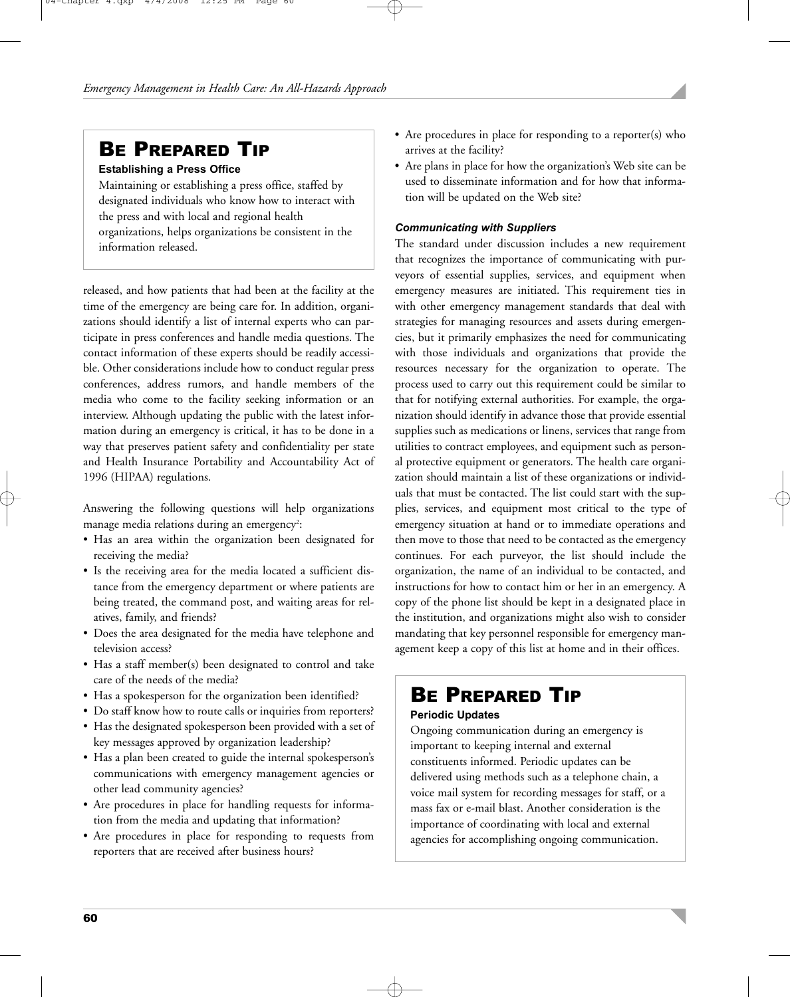## BE PREPARED TIP

#### **Establishing a Press Office**

Maintaining or establishing a press office, staffed by designated individuals who know how to interact with the press and with local and regional health organizations, helps organizations be consistent in the information released.

released, and how patients that had been at the facility at the time of the emergency are being care for. In addition, organizations should identify a list of internal experts who can participate in press conferences and handle media questions. The contact information of these experts should be readily accessible. Other considerations include how to conduct regular press conferences, address rumors, and handle members of the media who come to the facility seeking information or an interview. Although updating the public with the latest information during an emergency is critical, it has to be done in a way that preserves patient safety and confidentiality per state and Health Insurance Portability and Accountability Act of 1996 (HIPAA) regulations.

Answering the following questions will help organizations manage media relations during an emergency $\stackrel{?}{.}$ 

- Has an area within the organization been designated for receiving the media?
- Is the receiving area for the media located a sufficient distance from the emergency department or where patients are being treated, the command post, and waiting areas for relatives, family, and friends?
- Does the area designated for the media have telephone and television access?
- Has a staff member(s) been designated to control and take care of the needs of the media?
- Has a spokesperson for the organization been identified?
- Do staff know how to route calls or inquiries from reporters?
- Has the designated spokesperson been provided with a set of key messages approved by organization leadership?
- Has a plan been created to guide the internal spokesperson's communications with emergency management agencies or other lead community agencies?
- Are procedures in place for handling requests for information from the media and updating that information?
- Are procedures in place for responding to requests from reporters that are received after business hours?
- Are procedures in place for responding to a reporter(s) who arrives at the facility?
- Are plans in place for how the organization's Web site can be used to disseminate information and for how that information will be updated on the Web site?

#### *Communicating with Suppliers*

The standard under discussion includes a new requirement that recognizes the importance of communicating with purveyors of essential supplies, services, and equipment when emergency measures are initiated. This requirement ties in with other emergency management standards that deal with strategies for managing resources and assets during emergencies, but it primarily emphasizes the need for communicating with those individuals and organizations that provide the resources necessary for the organization to operate. The process used to carry out this requirement could be similar to that for notifying external authorities. For example, the organization should identify in advance those that provide essential supplies such as medications or linens, services that range from utilities to contract employees, and equipment such as personal protective equipment or generators. The health care organization should maintain a list of these organizations or individuals that must be contacted. The list could start with the supplies, services, and equipment most critical to the type of emergency situation at hand or to immediate operations and then move to those that need to be contacted as the emergency continues. For each purveyor, the list should include the organization, the name of an individual to be contacted, and instructions for how to contact him or her in an emergency. A copy of the phone list should be kept in a designated place in the institution, and organizations might also wish to consider mandating that key personnel responsible for emergency management keep a copy of this list at home and in their offices.

## BE PREPARED TIP

#### **Periodic Updates**

Ongoing communication during an emergency is important to keeping internal and external constituents informed. Periodic updates can be delivered using methods such as a telephone chain, a voice mail system for recording messages for staff, or a mass fax or e-mail blast. Another consideration is the importance of coordinating with local and external agencies for accomplishing ongoing communication.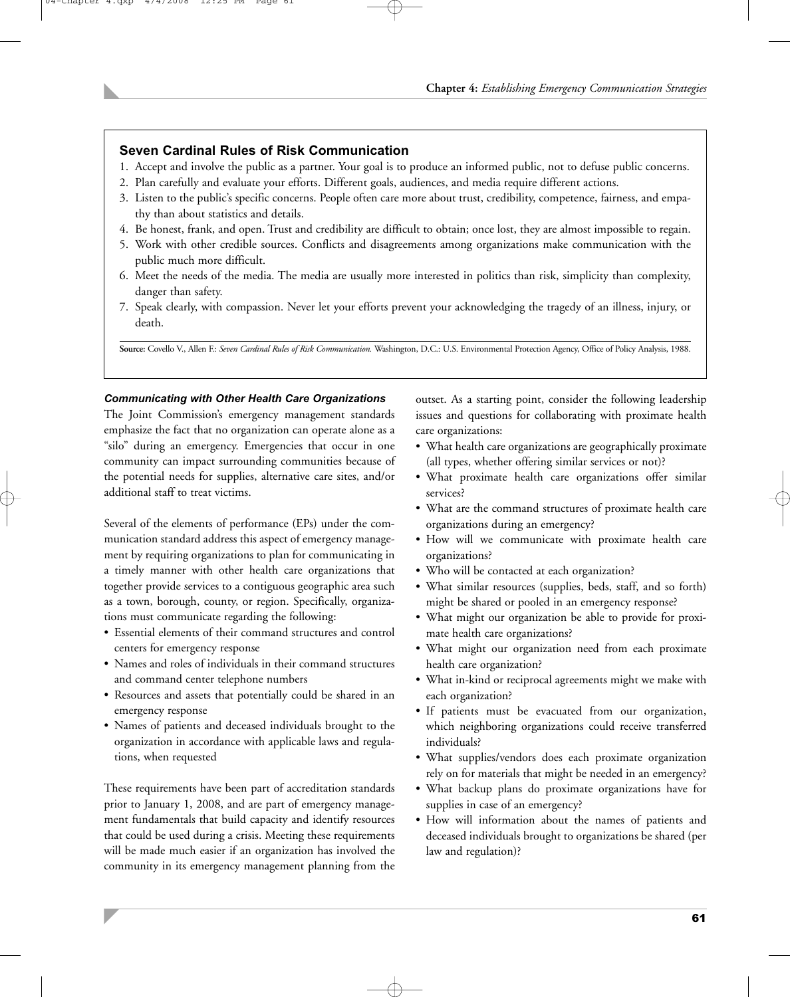#### **Seven Cardinal Rules of Risk Communication**

- 1. Accept and involve the public as a partner. Your goal is to produce an informed public, not to defuse public concerns.
- 2. Plan carefully and evaluate your efforts. Different goals, audiences, and media require different actions.
- 3. Listen to the public's specific concerns. People often care more about trust, credibility, competence, fairness, and empathy than about statistics and details.
- 4. Be honest, frank, and open. Trust and credibility are difficult to obtain; once lost, they are almost impossible to regain.
- 5. Work with other credible sources. Conflicts and disagreements among organizations make communication with the public much more difficult.
- 6. Meet the needs of the media. The media are usually more interested in politics than risk, simplicity than complexity, danger than safety.
- 7. Speak clearly, with compassion. Never let your efforts prevent your acknowledging the tragedy of an illness, injury, or death.

**Source:** Covello V., Allen F.: *Seven Cardinal Rules of Risk Communication.* Washington, D.C.: U.S. Environmental Protection Agency, Office of Policy Analysis, 1988.

#### *Communicating with Other Health Care Organizations*

The Joint Commission's emergency management standards emphasize the fact that no organization can operate alone as a "silo" during an emergency. Emergencies that occur in one community can impact surrounding communities because of the potential needs for supplies, alternative care sites, and/or additional staff to treat victims.

Several of the elements of performance (EPs) under the communication standard address this aspect of emergency management by requiring organizations to plan for communicating in a timely manner with other health care organizations that together provide services to a contiguous geographic area such as a town, borough, county, or region. Specifically, organizations must communicate regarding the following:

- Essential elements of their command structures and control centers for emergency response
- Names and roles of individuals in their command structures and command center telephone numbers
- Resources and assets that potentially could be shared in an emergency response
- Names of patients and deceased individuals brought to the organization in accordance with applicable laws and regulations, when requested

These requirements have been part of accreditation standards prior to January 1, 2008, and are part of emergency management fundamentals that build capacity and identify resources that could be used during a crisis. Meeting these requirements will be made much easier if an organization has involved the community in its emergency management planning from the

outset. As a starting point, consider the following leadership issues and questions for collaborating with proximate health care organizations:

- What health care organizations are geographically proximate (all types, whether offering similar services or not)?
- What proximate health care organizations offer similar services?
- What are the command structures of proximate health care organizations during an emergency?
- How will we communicate with proximate health care organizations?
- Who will be contacted at each organization?
- What similar resources (supplies, beds, staff, and so forth) might be shared or pooled in an emergency response?
- What might our organization be able to provide for proximate health care organizations?
- What might our organization need from each proximate health care organization?
- What in-kind or reciprocal agreements might we make with each organization?
- If patients must be evacuated from our organization, which neighboring organizations could receive transferred individuals?
- What supplies/vendors does each proximate organization rely on for materials that might be needed in an emergency?
- What backup plans do proximate organizations have for supplies in case of an emergency?
- How will information about the names of patients and deceased individuals brought to organizations be shared (per law and regulation)?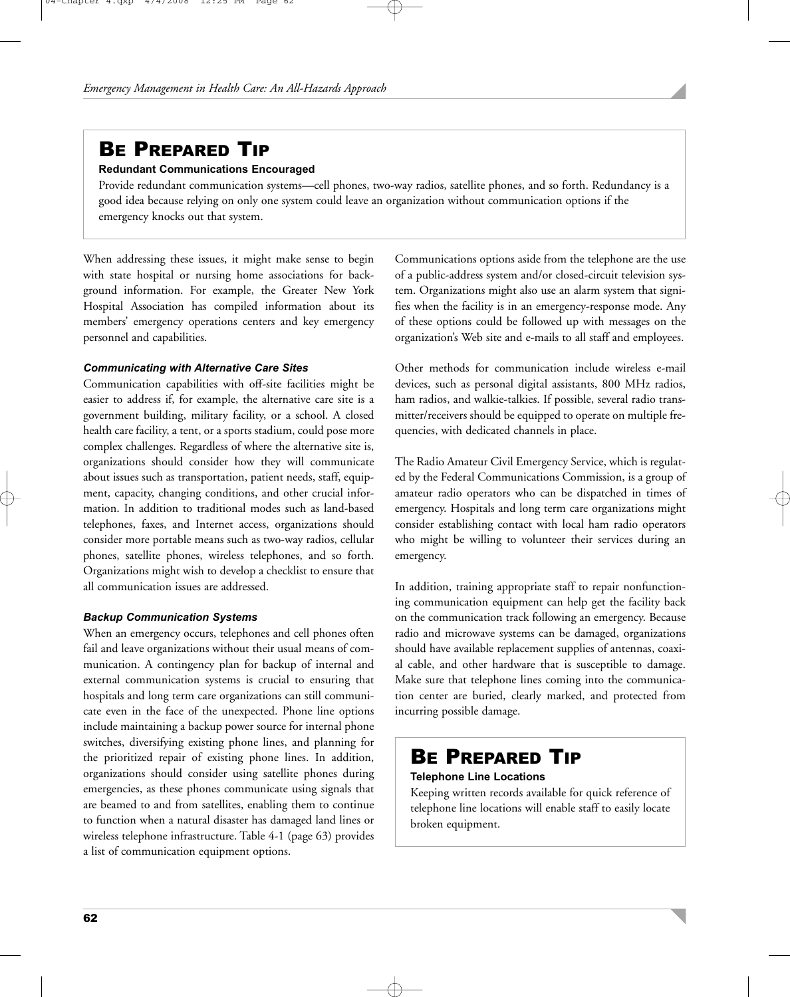# BE PREPARED TIP

#### **Redundant Communications Encouraged**

Provide redundant communication systems—cell phones, two-way radios, satellite phones, and so forth. Redundancy is a good idea because relying on only one system could leave an organization without communication options if the emergency knocks out that system.

When addressing these issues, it might make sense to begin with state hospital or nursing home associations for background information. For example, the Greater New York Hospital Association has compiled information about its members' emergency operations centers and key emergency personnel and capabilities.

#### *Communicating with Alternative Care Sites*

Communication capabilities with off-site facilities might be easier to address if, for example, the alternative care site is a government building, military facility, or a school. A closed health care facility, a tent, or a sports stadium, could pose more complex challenges. Regardless of where the alternative site is, organizations should consider how they will communicate about issues such as transportation, patient needs, staff, equipment, capacity, changing conditions, and other crucial information. In addition to traditional modes such as land-based telephones, faxes, and Internet access, organizations should consider more portable means such as two-way radios, cellular phones, satellite phones, wireless telephones, and so forth. Organizations might wish to develop a checklist to ensure that all communication issues are addressed.

#### *Backup Communication Systems*

When an emergency occurs, telephones and cell phones often fail and leave organizations without their usual means of communication. A contingency plan for backup of internal and external communication systems is crucial to ensuring that hospitals and long term care organizations can still communicate even in the face of the unexpected. Phone line options include maintaining a backup power source for internal phone switches, diversifying existing phone lines, and planning for the prioritized repair of existing phone lines. In addition, organizations should consider using satellite phones during emergencies, as these phones communicate using signals that are beamed to and from satellites, enabling them to continue to function when a natural disaster has damaged land lines or wireless telephone infrastructure. Table 4-1 (page 63) provides a list of communication equipment options.

Communications options aside from the telephone are the use of a public-address system and/or closed-circuit television system. Organizations might also use an alarm system that signifies when the facility is in an emergency-response mode. Any of these options could be followed up with messages on the organization's Web site and e-mails to all staff and employees.

Other methods for communication include wireless e-mail devices, such as personal digital assistants, 800 MHz radios, ham radios, and walkie-talkies. If possible, several radio transmitter/receivers should be equipped to operate on multiple frequencies, with dedicated channels in place.

The Radio Amateur Civil Emergency Service, which is regulated by the Federal Communications Commission, is a group of amateur radio operators who can be dispatched in times of emergency. Hospitals and long term care organizations might consider establishing contact with local ham radio operators who might be willing to volunteer their services during an emergency.

In addition, training appropriate staff to repair nonfunctioning communication equipment can help get the facility back on the communication track following an emergency. Because radio and microwave systems can be damaged, organizations should have available replacement supplies of antennas, coaxial cable, and other hardware that is susceptible to damage. Make sure that telephone lines coming into the communication center are buried, clearly marked, and protected from incurring possible damage.

## BE PREPARED TIP

#### **Telephone Line Locations**

Keeping written records available for quick reference of telephone line locations will enable staff to easily locate broken equipment.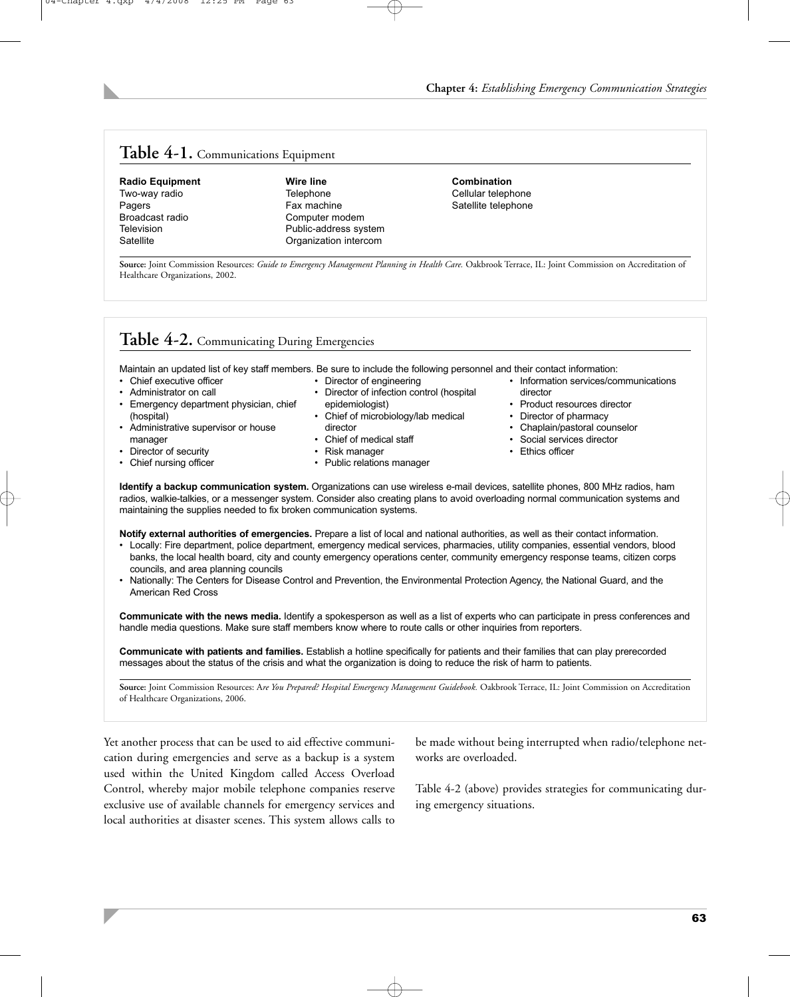#### **Table 4-1.** Communications Equipment

Broadcast radio entity computer modem<br>
Television entity Public-address system

## **Radio Equipment Wire line Combination Combination Combination Combination Combination Combination Combination Combination Combination Combination Combination Combination Combination Combination Combination Combination Com** Two-way radio **Telephone** Telephone Cellular telephone<br>
Pagers
Cellular telephone<br>
Pagers
Catellite telephone Television **Television** Public-address system<br>
Satellite **Contains Container Contains Container Contains Container Contains System** Organization intercom

Satellite telephone

**Source:** Joint Commission Resources: *Guide to Emergency Management Planning in Health Care.* Oakbrook Terrace, IL: Joint Commission on Accreditation of Healthcare Organizations, 2002.

## **Table 4-2.** Communicating During Emergencies

Maintain an updated list of key staff members. Be sure to include the following personnel and their contact information: • Director of engineering

- Chief executive officer
- Administrator on call
- Emergency department physician, chief (hospital)
- Administrative supervisor or house manager
- Director of security • Chief nursing officer
- director Chief of medical staff

epidemiologist)

- Risk manager
- Public relations manager
	-
- Information services/communications director
- Product resources director
- Director of pharmacy
- 
- Chaplain/pastoral counselor
- Social services director
- Ethics officer
- **Identify a backup communication system.** Organizations can use wireless e-mail devices, satellite phones, 800 MHz radios, ham radios, walkie-talkies, or a messenger system. Consider also creating plans to avoid overloading normal communication systems and maintaining the supplies needed to fix broken communication systems.

• Director of infection control (hospital

• Chief of microbiology/lab medical

**Notify external authorities of emergencies.** Prepare a list of local and national authorities, as well as their contact information.

- Locally: Fire department, police department, emergency medical services, pharmacies, utility companies, essential vendors, blood banks, the local health board, city and county emergency operations center, community emergency response teams, citizen corps councils, and area planning councils
- Nationally: The Centers for Disease Control and Prevention, the Environmental Protection Agency, the National Guard, and the American Red Cross

**Communicate with the news media.** Identify a spokesperson as well as a list of experts who can participate in press conferences and handle media questions. Make sure staff members know where to route calls or other inquiries from reporters.

**Communicate with patients and families.** Establish a hotline specifically for patients and their families that can play prerecorded messages about the status of the crisis and what the organization is doing to reduce the risk of harm to patients.

Source: Joint Commission Resources: Are You Prepared? Hospital Emergency Management Guidebook. Oakbrook Terrace, IL: Joint Commission on Accreditation of Healthcare Organizations, 2006.

Yet another process that can be used to aid effective communication during emergencies and serve as a backup is a system used within the United Kingdom called Access Overload Control, whereby major mobile telephone companies reserve exclusive use of available channels for emergency services and local authorities at disaster scenes. This system allows calls to

be made without being interrupted when radio/telephone networks are overloaded.

Table 4-2 (above) provides strategies for communicating during emergency situations.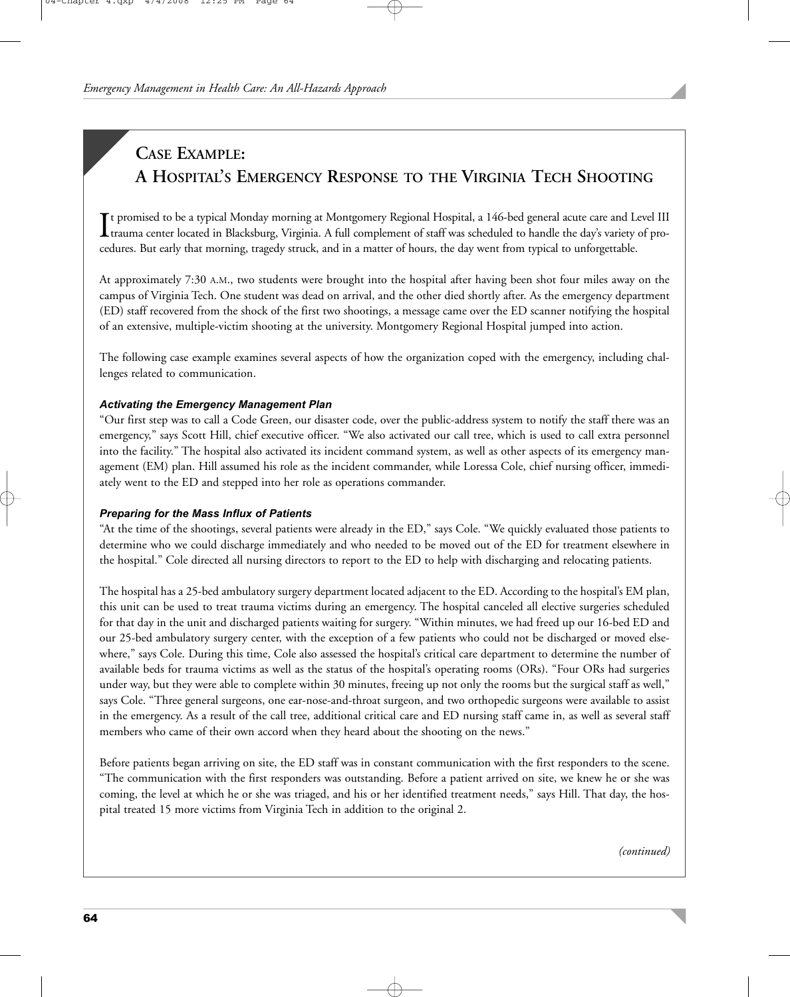## **CASE EXAMPLE: A HOSPITAL'S EMERGENCY RESPONSE TO THE VIRGINIA TECH SHOOTING**

It promised to be a typical Monday morning at Montgomery Regional Hospital, a 146-bed general acute care and Level III trauma center located in Blacksburg, Virginia. A full complement of staff was scheduled to handle the d t promised to be a typical Monday morning at Montgomery Regional Hospital, a 146-bed general acute care and Level III cedures. But early that morning, tragedy struck, and in a matter of hours, the day went from typical to unforgettable.

At approximately 7:30 A.M., two students were brought into the hospital after having been shot four miles away on the campus of Virginia Tech. One student was dead on arrival, and the other died shortly after. As the emergency department (ED) staff recovered from the shock of the first two shootings, a message came over the ED scanner notifying the hospital of an extensive, multiple-victim shooting at the university. Montgomery Regional Hospital jumped into action.

The following case example examines several aspects of how the organization coped with the emergency, including challenges related to communication.

#### *Activating the Emergency Management Plan*

"Our first step was to call a Code Green, our disaster code, over the public-address system to notify the staff there was an emergency," says Scott Hill, chief executive officer. "We also activated our call tree, which is used to call extra personnel into the facility." The hospital also activated its incident command system, as well as other aspects of its emergency management (EM) plan. Hill assumed his role as the incident commander, while Loressa Cole, chief nursing officer, immediately went to the ED and stepped into her role as operations commander.

#### *Preparing for the Mass Influx of Patients*

"At the time of the shootings, several patients were already in the ED," says Cole. "We quickly evaluated those patients to determine who we could discharge immediately and who needed to be moved out of the ED for treatment elsewhere in the hospital." Cole directed all nursing directors to report to the ED to help with discharging and relocating patients.

The hospital has a 25-bed ambulatory surgery department located adjacent to the ED. According to the hospital's EM plan, this unit can be used to treat trauma victims during an emergency. The hospital canceled all elective surgeries scheduled for that day in the unit and discharged patients waiting for surgery. "Within minutes, we had freed up our 16-bed ED and our 25-bed ambulatory surgery center, with the exception of a few patients who could not be discharged or moved elsewhere," says Cole. During this time, Cole also assessed the hospital's critical care department to determine the number of available beds for trauma victims as well as the status of the hospital's operating rooms (ORs). "Four ORs had surgeries under way, but they were able to complete within 30 minutes, freeing up not only the rooms but the surgical staff as well," says Cole. "Three general surgeons, one ear-nose-and-throat surgeon, and two orthopedic surgeons were available to assist in the emergency. As a result of the call tree, additional critical care and ED nursing staff came in, as well as several staff members who came of their own accord when they heard about the shooting on the news."

Before patients began arriving on site, the ED staff was in constant communication with the first responders to the scene. "The communication with the first responders was outstanding. Before a patient arrived on site, we knew he or she was coming, the level at which he or she was triaged, and his or her identified treatment needs," says Hill. That day, the hospital treated 15 more victims from Virginia Tech in addition to the original 2.

*(continued)*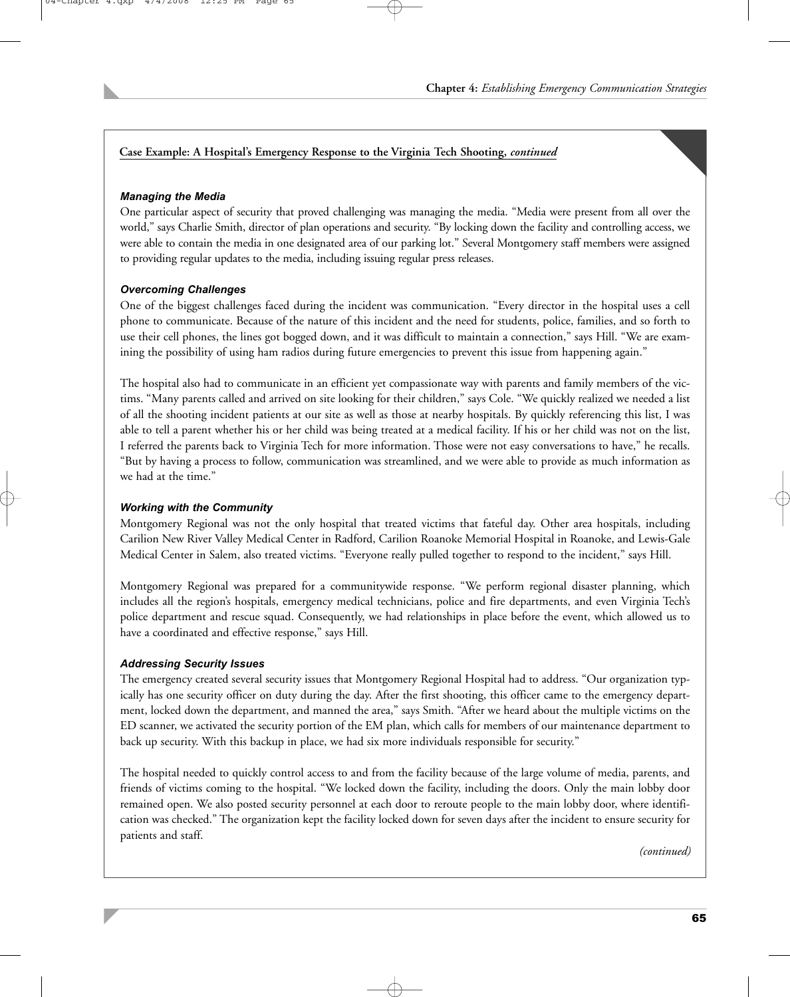#### **Case Example: A Hospital's Emergency Response to the Virginia Tech Shooting,** *continued*

#### *Managing the Media*

One particular aspect of security that proved challenging was managing the media. "Media were present from all over the world," says Charlie Smith, director of plan operations and security. "By locking down the facility and controlling access, we were able to contain the media in one designated area of our parking lot." Several Montgomery staff members were assigned to providing regular updates to the media, including issuing regular press releases.

#### *Overcoming Challenges*

One of the biggest challenges faced during the incident was communication. "Every director in the hospital uses a cell phone to communicate. Because of the nature of this incident and the need for students, police, families, and so forth to use their cell phones, the lines got bogged down, and it was difficult to maintain a connection," says Hill. "We are examining the possibility of using ham radios during future emergencies to prevent this issue from happening again."

The hospital also had to communicate in an efficient yet compassionate way with parents and family members of the victims. "Many parents called and arrived on site looking for their children," says Cole. "We quickly realized we needed a list of all the shooting incident patients at our site as well as those at nearby hospitals. By quickly referencing this list, I was able to tell a parent whether his or her child was being treated at a medical facility. If his or her child was not on the list, I referred the parents back to Virginia Tech for more information. Those were not easy conversations to have," he recalls. "But by having a process to follow, communication was streamlined, and we were able to provide as much information as we had at the time."

#### *Working with the Community*

Montgomery Regional was not the only hospital that treated victims that fateful day. Other area hospitals, including Carilion New River Valley Medical Center in Radford, Carilion Roanoke Memorial Hospital in Roanoke, and Lewis-Gale Medical Center in Salem, also treated victims. "Everyone really pulled together to respond to the incident," says Hill.

Montgomery Regional was prepared for a communitywide response. "We perform regional disaster planning, which includes all the region's hospitals, emergency medical technicians, police and fire departments, and even Virginia Tech's police department and rescue squad. Consequently, we had relationships in place before the event, which allowed us to have a coordinated and effective response," says Hill.

#### *Addressing Security Issues*

The emergency created several security issues that Montgomery Regional Hospital had to address. "Our organization typically has one security officer on duty during the day. After the first shooting, this officer came to the emergency department, locked down the department, and manned the area," says Smith. "After we heard about the multiple victims on the ED scanner, we activated the security portion of the EM plan, which calls for members of our maintenance department to back up security. With this backup in place, we had six more individuals responsible for security."

The hospital needed to quickly control access to and from the facility because of the large volume of media, parents, and friends of victims coming to the hospital. "We locked down the facility, including the doors. Only the main lobby door remained open. We also posted security personnel at each door to reroute people to the main lobby door, where identification was checked." The organization kept the facility locked down for seven days after the incident to ensure security for patients and staff.

*(continued)*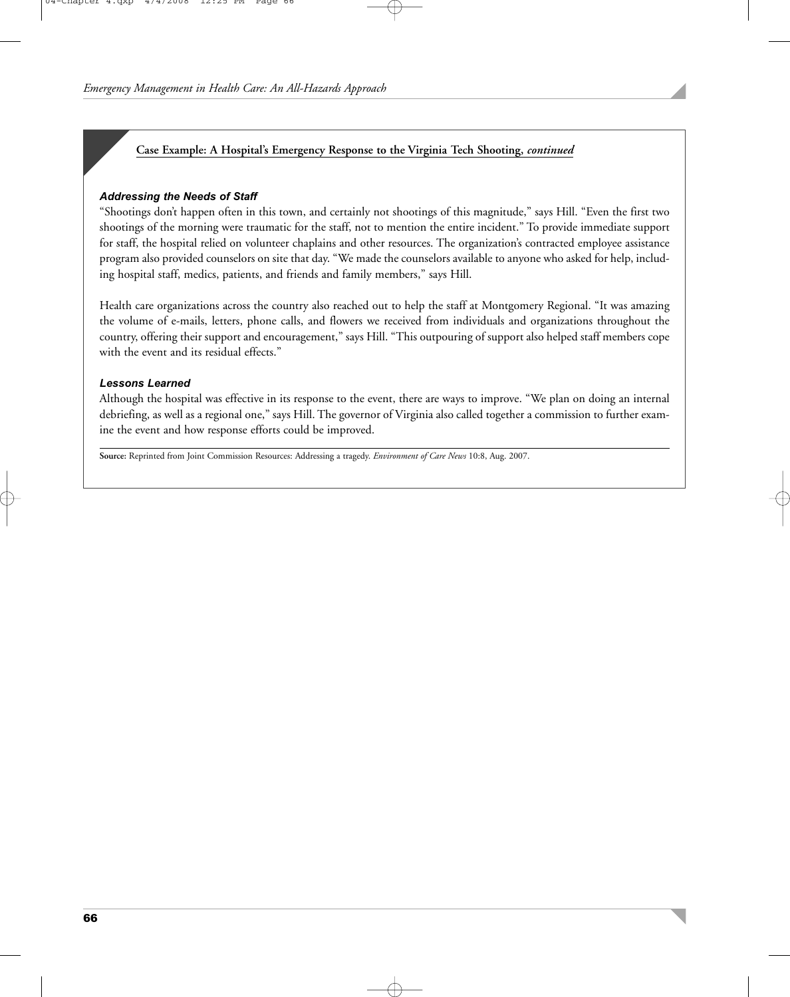#### **Case Example: A Hospital's Emergency Response to the Virginia Tech Shooting,** *continued*

#### *Addressing the Needs of Staff*

"Shootings don't happen often in this town, and certainly not shootings of this magnitude," says Hill. "Even the first two shootings of the morning were traumatic for the staff, not to mention the entire incident." To provide immediate support for staff, the hospital relied on volunteer chaplains and other resources. The organization's contracted employee assistance program also provided counselors on site that day. "We made the counselors available to anyone who asked for help, including hospital staff, medics, patients, and friends and family members," says Hill.

Health care organizations across the country also reached out to help the staff at Montgomery Regional. "It was amazing the volume of e-mails, letters, phone calls, and flowers we received from individuals and organizations throughout the country, offering their support and encouragement," says Hill. "This outpouring of support also helped staff members cope with the event and its residual effects."

#### *Lessons Learned*

Although the hospital was effective in its response to the event, there are ways to improve. "We plan on doing an internal debriefing, as well as a regional one," says Hill. The governor of Virginia also called together a commission to further examine the event and how response efforts could be improved.

**Source:** Reprinted from Joint Commission Resources: Addressing a tragedy. *Environment of Care News* 10:8, Aug. 2007.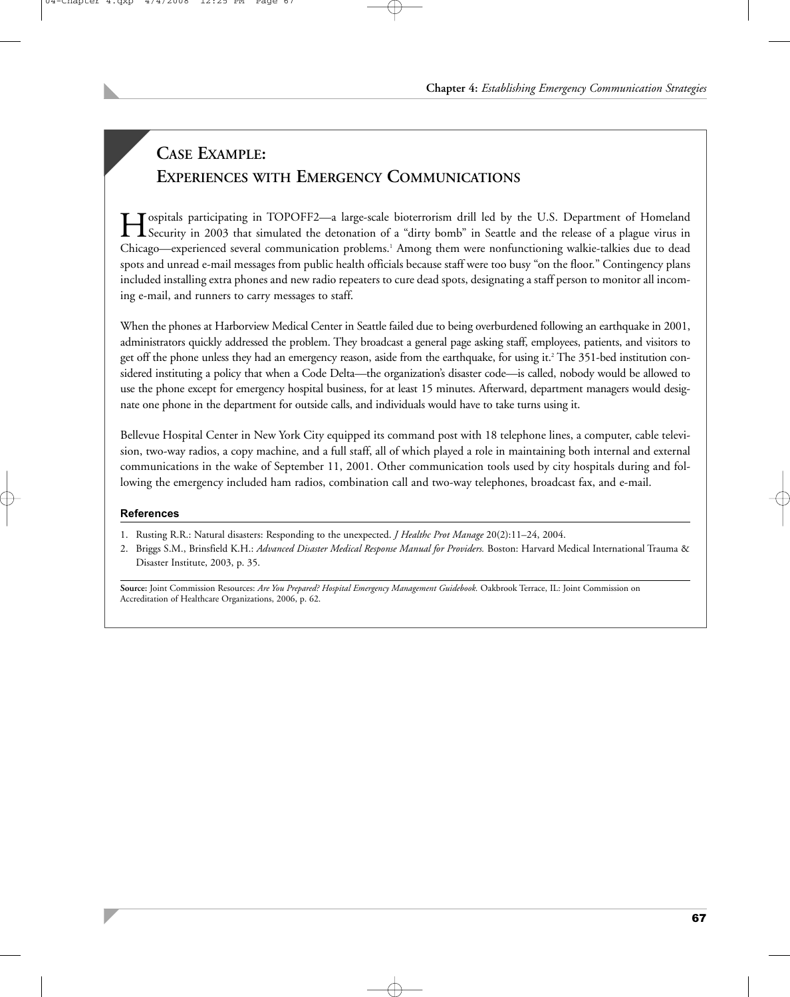# **CASE EXAMPLE: EXPERIENCES WITH EMERGENCY COMMUNICATIONS**

Hospitals participating in TOPOFF2—a large-scale bioterrorism drill led by the U.S. Department of Homeland Security in 2003 that simulated the detonation of a "dirty bomb" in Seattle and the release of a plague virus in Chicago—experienced several communication problems.1 Among them were nonfunctioning walkie-talkies due to dead spots and unread e-mail messages from public health officials because staff were too busy "on the floor." Contingency plans included installing extra phones and new radio repeaters to cure dead spots, designating a staff person to monitor all incoming e-mail, and runners to carry messages to staff.

When the phones at Harborview Medical Center in Seattle failed due to being overburdened following an earthquake in 2001, administrators quickly addressed the problem. They broadcast a general page asking staff, employees, patients, and visitors to get off the phone unless they had an emergency reason, aside from the earthquake, for using it.<sup>2</sup> The 351-bed institution considered instituting a policy that when a Code Delta—the organization's disaster code—is called, nobody would be allowed to use the phone except for emergency hospital business, for at least 15 minutes. Afterward, department managers would designate one phone in the department for outside calls, and individuals would have to take turns using it.

Bellevue Hospital Center in New York City equipped its command post with 18 telephone lines, a computer, cable television, two-way radios, a copy machine, and a full staff, all of which played a role in maintaining both internal and external communications in the wake of September 11, 2001. Other communication tools used by city hospitals during and following the emergency included ham radios, combination call and two-way telephones, broadcast fax, and e-mail.

#### **References**

- 1. Rusting R.R.: Natural disasters: Responding to the unexpected. *J Healthc Prot Manage* 20(2):11–24, 2004.
- 2. Briggs S.M., Brinsfield K.H.: *Advanced Disaster Medical Response Manual for Providers.* Boston: Harvard Medical International Trauma & Disaster Institute, 2003, p. 35.

**Source:** Joint Commission Resources: *Are You Prepared? Hospital Emergency Management Guidebook.* Oakbrook Terrace, IL: Joint Commission on Accreditation of Healthcare Organizations, 2006, p. 62.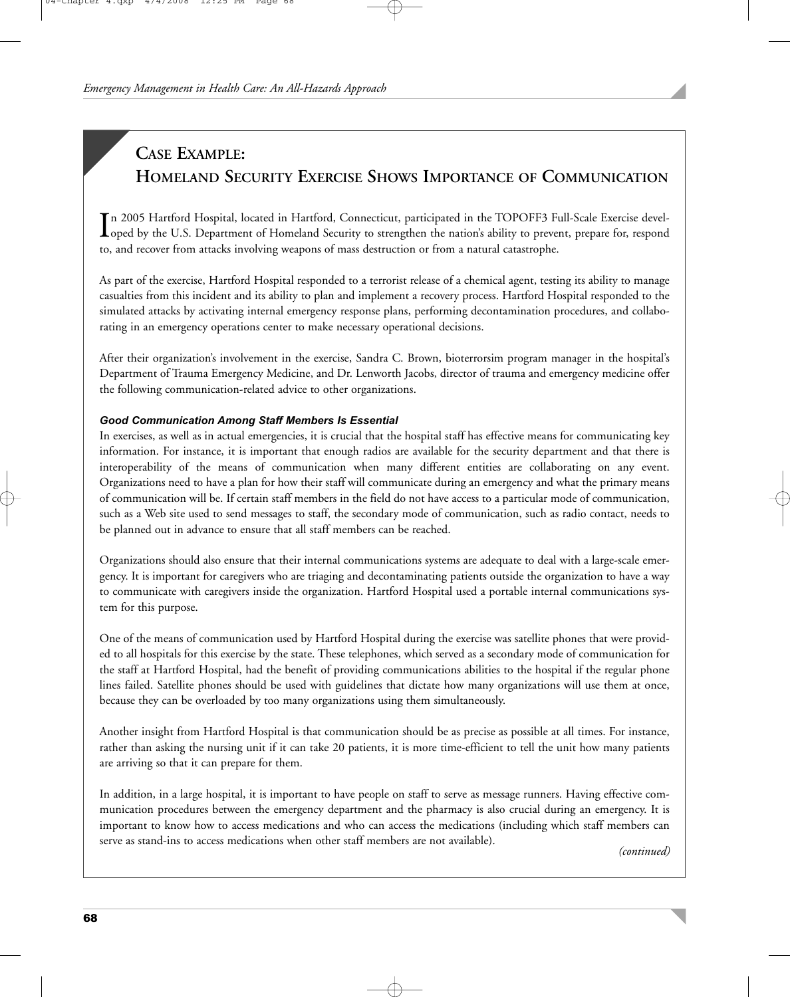## **CASE EXAMPLE: HOMELAND SECURITY EXERCISE SHOWS IMPORTANCE OF COMMUNICATION**

In 2005 Hartford Hospital, located in Hartford, Connecticut, participated in the TOPOFF3 Full-Scale Exercise devel-<br>Loped by the U.S. Department of Homeland Security to strengthen the nation's ability to prevent, prepare f n 2005 Hartford Hospital, located in Hartford, Connecticut, participated in the TOPOFF3 Full-Scale Exercise develto, and recover from attacks involving weapons of mass destruction or from a natural catastrophe.

As part of the exercise, Hartford Hospital responded to a terrorist release of a chemical agent, testing its ability to manage casualties from this incident and its ability to plan and implement a recovery process. Hartford Hospital responded to the simulated attacks by activating internal emergency response plans, performing decontamination procedures, and collaborating in an emergency operations center to make necessary operational decisions.

After their organization's involvement in the exercise, Sandra C. Brown, bioterrorsim program manager in the hospital's Department of Trauma Emergency Medicine, and Dr. Lenworth Jacobs, director of trauma and emergency medicine offer the following communication-related advice to other organizations.

#### *Good Communication Among Staff Members Is Essential*

In exercises, as well as in actual emergencies, it is crucial that the hospital staff has effective means for communicating key information. For instance, it is important that enough radios are available for the security department and that there is interoperability of the means of communication when many different entities are collaborating on any event. Organizations need to have a plan for how their staff will communicate during an emergency and what the primary means of communication will be. If certain staff members in the field do not have access to a particular mode of communication, such as a Web site used to send messages to staff, the secondary mode of communication, such as radio contact, needs to be planned out in advance to ensure that all staff members can be reached.

Organizations should also ensure that their internal communications systems are adequate to deal with a large-scale emergency. It is important for caregivers who are triaging and decontaminating patients outside the organization to have a way to communicate with caregivers inside the organization. Hartford Hospital used a portable internal communications system for this purpose.

One of the means of communication used by Hartford Hospital during the exercise was satellite phones that were provided to all hospitals for this exercise by the state. These telephones, which served as a secondary mode of communication for the staff at Hartford Hospital, had the benefit of providing communications abilities to the hospital if the regular phone lines failed. Satellite phones should be used with guidelines that dictate how many organizations will use them at once, because they can be overloaded by too many organizations using them simultaneously.

Another insight from Hartford Hospital is that communication should be as precise as possible at all times. For instance, rather than asking the nursing unit if it can take 20 patients, it is more time-efficient to tell the unit how many patients are arriving so that it can prepare for them.

In addition, in a large hospital, it is important to have people on staff to serve as message runners. Having effective communication procedures between the emergency department and the pharmacy is also crucial during an emergency. It is important to know how to access medications and who can access the medications (including which staff members can serve as stand-ins to access medications when other staff members are not available). *(continued)*